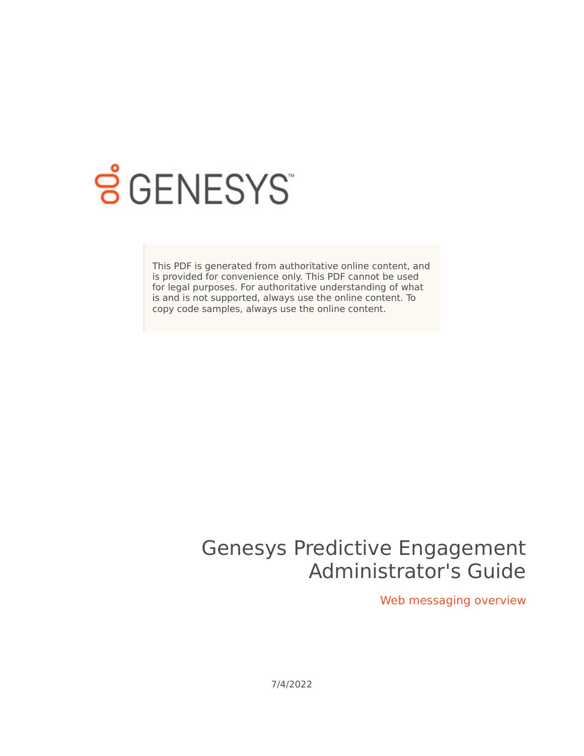

# **SGENESYS**

This PDF is generated from authoritative online content, and is provided for convenience only. This PDF cannot be used for legal purposes. For authoritative understanding of what is and is not supported, always use the online content. To copy code samples, always use the online content.

# Genesys Predictive Engagement Administrator's Guide

Web messaging overview

7/4/2022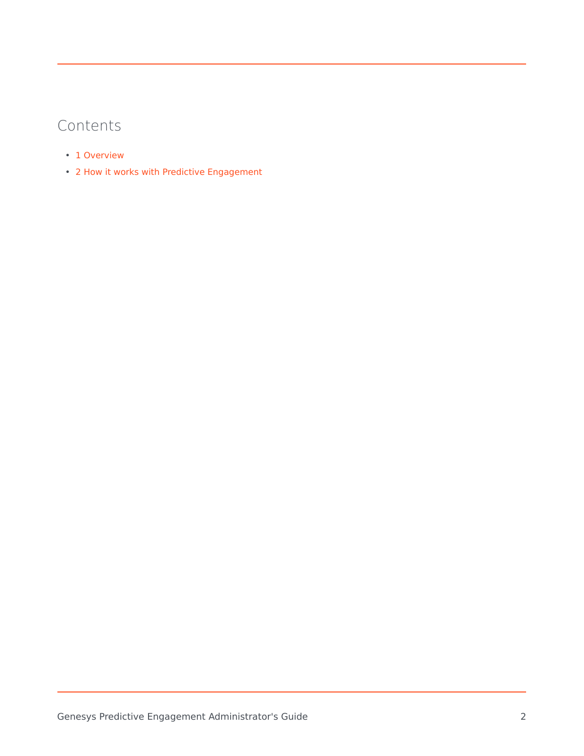## Contents

- 1 [Overview](#page-2-0)
- 2 [How it works with Predictive Engagement](#page-3-0)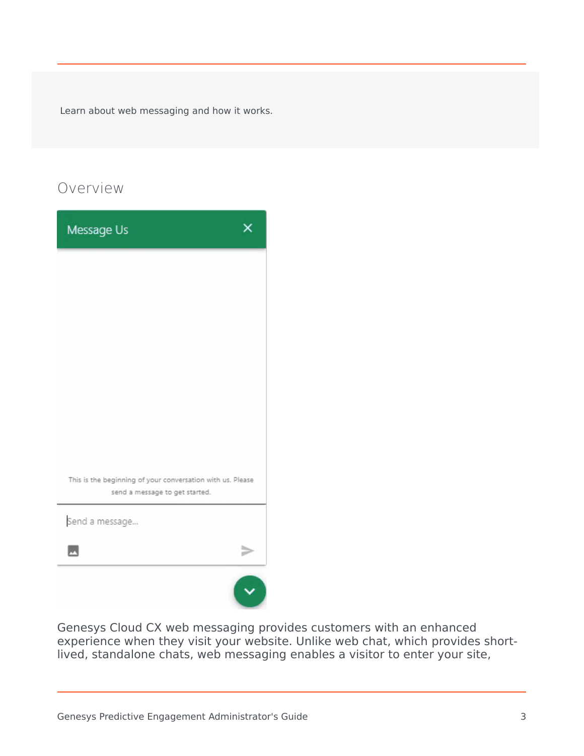Learn about web messaging and how it works.

### <span id="page-2-0"></span>Overview

| Message Us                                                                                   |  |
|----------------------------------------------------------------------------------------------|--|
|                                                                                              |  |
|                                                                                              |  |
|                                                                                              |  |
|                                                                                              |  |
|                                                                                              |  |
|                                                                                              |  |
| This is the beginning of your conversation with us. Please<br>send a message to get started. |  |
| Send a message                                                                               |  |
| $\overline{\phantom{a}}$                                                                     |  |
|                                                                                              |  |

Genesys Cloud CX web messaging provides customers with an enhanced experience when they visit your website. Unlike web chat, which provides shortlived, standalone chats, web messaging enables a visitor to enter your site,